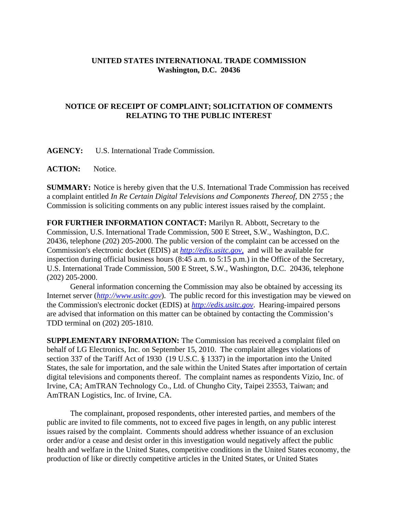## **UNITED STATES INTERNATIONAL TRADE COMMISSION Washington, D.C. 20436**

## **NOTICE OF RECEIPT OF COMPLAINT; SOLICITATION OF COMMENTS RELATING TO THE PUBLIC INTEREST**

**AGENCY:** U.S. International Trade Commission.

**ACTION:** Notice.

**SUMMARY:** Notice is hereby given that the U.S. International Trade Commission has received a complaint entitled *In Re Certain Digital Televisions and Components Thereof*, DN 2755 ; the Commission is soliciting comments on any public interest issues raised by the complaint.

**FOR FURTHER INFORMATION CONTACT:** Marilyn R. Abbott, Secretary to the Commission, U.S. International Trade Commission, 500 E Street, S.W., Washington, D.C. 20436, telephone (202) 205-2000. The public version of the complaint can be accessed on the Commission's electronic docket (EDIS) at *http://edis.usitc.gov*, and will be available for inspection during official business hours (8:45 a.m. to 5:15 p.m.) in the Office of the Secretary, U.S. International Trade Commission, 500 E Street, S.W., Washington, D.C. 20436, telephone (202) 205-2000.

General information concerning the Commission may also be obtained by accessing its Internet server (*http://www.usitc.gov*). The public record for this investigation may be viewed on the Commission's electronic docket (EDIS) at *http://edis.usitc.gov*. Hearing-impaired persons are advised that information on this matter can be obtained by contacting the Commission's TDD terminal on (202) 205-1810.

**SUPPLEMENTARY INFORMATION:** The Commission has received a complaint filed on behalf of LG Electronics, Inc. on September 15, 2010. The complaint alleges violations of section 337 of the Tariff Act of 1930 (19 U.S.C. § 1337) in the importation into the United States, the sale for importation, and the sale within the United States after importation of certain digital televisions and components thereof. The complaint names as respondents Vizio, Inc. of Irvine, CA; AmTRAN Technology Co., Ltd. of Chungho City, Taipei 23553, Taiwan; and AmTRAN Logistics, Inc. of Irvine, CA.

The complainant, proposed respondents, other interested parties, and members of the public are invited to file comments, not to exceed five pages in length, on any public interest issues raised by the complaint. Comments should address whether issuance of an exclusion order and/or a cease and desist order in this investigation would negatively affect the public health and welfare in the United States, competitive conditions in the United States economy, the production of like or directly competitive articles in the United States, or United States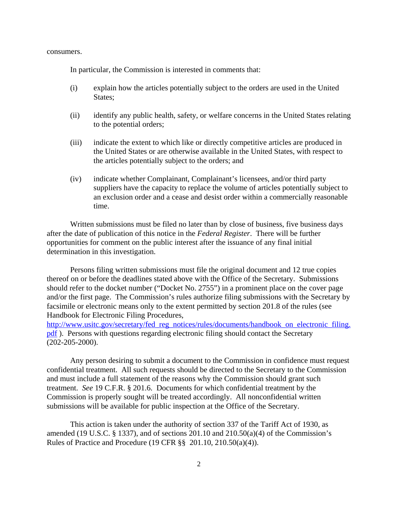consumers.

In particular, the Commission is interested in comments that:

- (i) explain how the articles potentially subject to the orders are used in the United States;
- (ii) identify any public health, safety, or welfare concerns in the United States relating to the potential orders;
- (iii) indicate the extent to which like or directly competitive articles are produced in the United States or are otherwise available in the United States, with respect to the articles potentially subject to the orders; and
- (iv) indicate whether Complainant, Complainant's licensees, and/or third party suppliers have the capacity to replace the volume of articles potentially subject to an exclusion order and a cease and desist order within a commercially reasonable time.

Written submissions must be filed no later than by close of business, five business days after the date of publication of this notice in the *Federal Register*. There will be further opportunities for comment on the public interest after the issuance of any final initial determination in this investigation.

Persons filing written submissions must file the original document and 12 true copies thereof on or before the deadlines stated above with the Office of the Secretary. Submissions should refer to the docket number ("Docket No. 2755") in a prominent place on the cover page and/or the first page. The Commission's rules authorize filing submissions with the Secretary by facsimile or electronic means only to the extent permitted by section 201.8 of the rules (see Handbook for Electronic Filing Procedures,

http://www.usitc.gov/secretary/fed\_reg\_notices/rules/documents/handbook\_on\_electronic\_filing. pdf ). Persons with questions regarding electronic filing should contact the Secretary (202-205-2000).

Any person desiring to submit a document to the Commission in confidence must request confidential treatment. All such requests should be directed to the Secretary to the Commission and must include a full statement of the reasons why the Commission should grant such treatment. *See* 19 C.F.R. § 201.6. Documents for which confidential treatment by the Commission is properly sought will be treated accordingly. All nonconfidential written submissions will be available for public inspection at the Office of the Secretary.

This action is taken under the authority of section 337 of the Tariff Act of 1930, as amended (19 U.S.C.  $\S$  1337), and of sections 201.10 and 210.50(a)(4) of the Commission's Rules of Practice and Procedure (19 CFR §§ 201.10, 210.50(a)(4)).